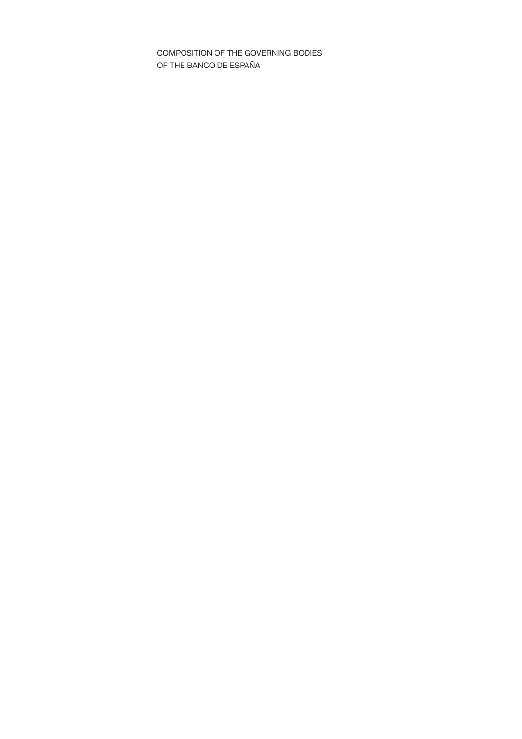COMPOSITION OF THE GOVERNING BODIES OF THE BANCO DE ESPAÑA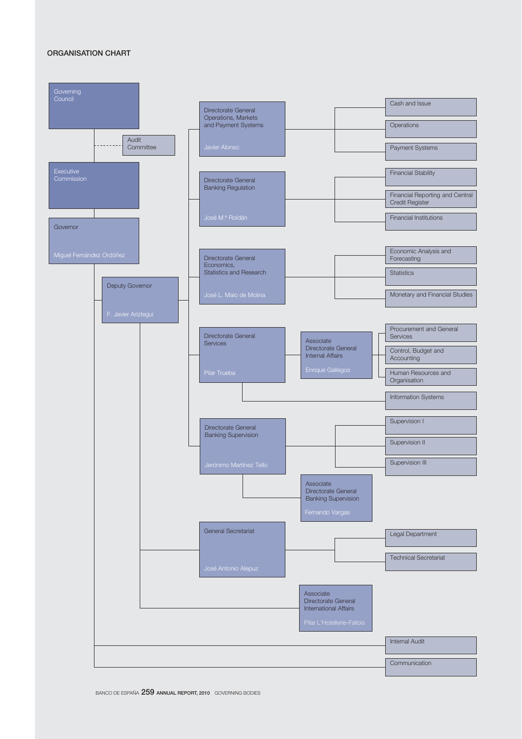## ORGANISATION CHART

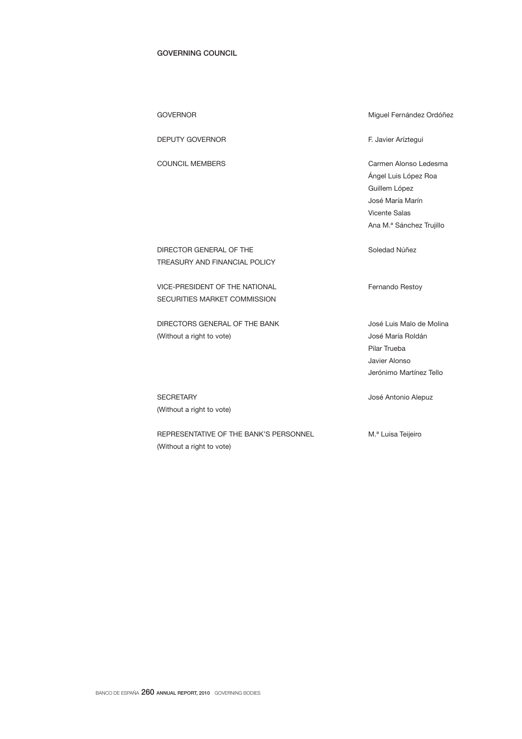## GOVERNING COUNCIL

| <b>DEPUTY GOVERNOR</b>                                         | F. Javier Aríztegui                                                                                                                    |
|----------------------------------------------------------------|----------------------------------------------------------------------------------------------------------------------------------------|
| COUNCIL MEMBERS                                                | Carmen Alonso Ledesma<br>Angel Luis López Roa<br>Guillem López<br>José María Marín<br><b>Vicente Salas</b><br>Ana M.ª Sánchez Trujillo |
| DIRECTOR GENERAL OF THE<br>TREASURY AND FINANCIAL POLICY       | Soledad Núñez                                                                                                                          |
| VICE-PRESIDENT OF THE NATIONAL<br>SECURITIES MARKET COMMISSION | Fernando Restoy                                                                                                                        |
| DIRECTORS GENERAL OF THE BANK<br>(Without a right to vote)     | José Luis Malo de Molina<br>José María Roldán<br>Pilar Trueba<br>Javier Alonso<br>Jerónimo Martínez Tello                              |
|                                                                |                                                                                                                                        |

GOVERNOR **Miguel Fernández Ordóñez** 

SECRETARY **SECRETARY José Antonio Alepuz** (Without a right to vote)

REPRESENTATIVE OF THE BANK'S PERSONNEL M.ª Luisa Teijeiro (Without a right to vote)